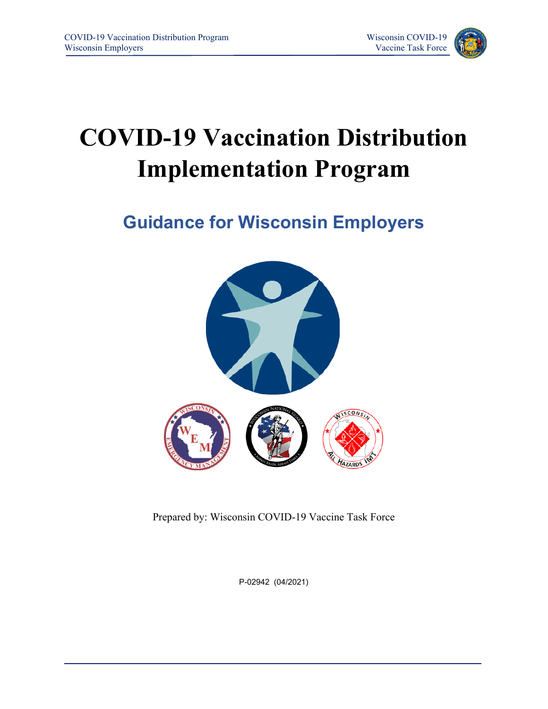

# **COVID-19 Vaccination Distribution Implementation Program**

**Guidance for Wisconsin Employers**



Prepared by: Wisconsin COVID-19 Vaccine Task Force

P-02942 (04/2021)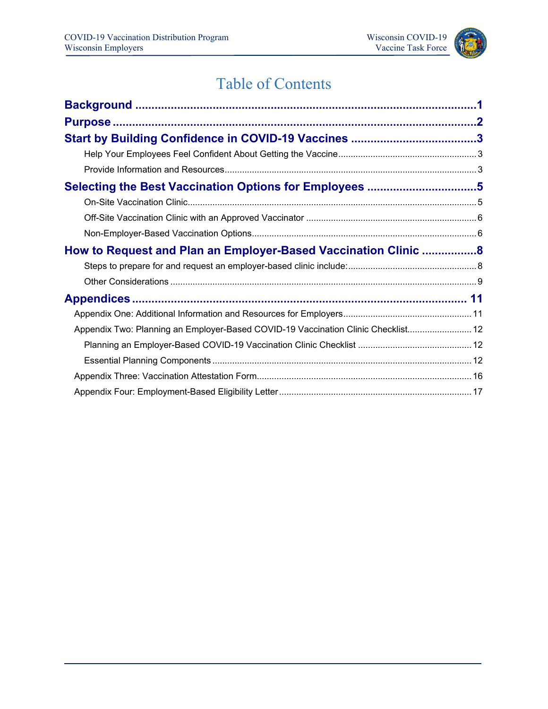

# Table of Contents

| How to Request and Plan an Employer-Based Vaccination Clinic 8                    |  |
|-----------------------------------------------------------------------------------|--|
|                                                                                   |  |
|                                                                                   |  |
|                                                                                   |  |
|                                                                                   |  |
| Appendix Two: Planning an Employer-Based COVID-19 Vaccination Clinic Checklist 12 |  |
|                                                                                   |  |
|                                                                                   |  |
|                                                                                   |  |
|                                                                                   |  |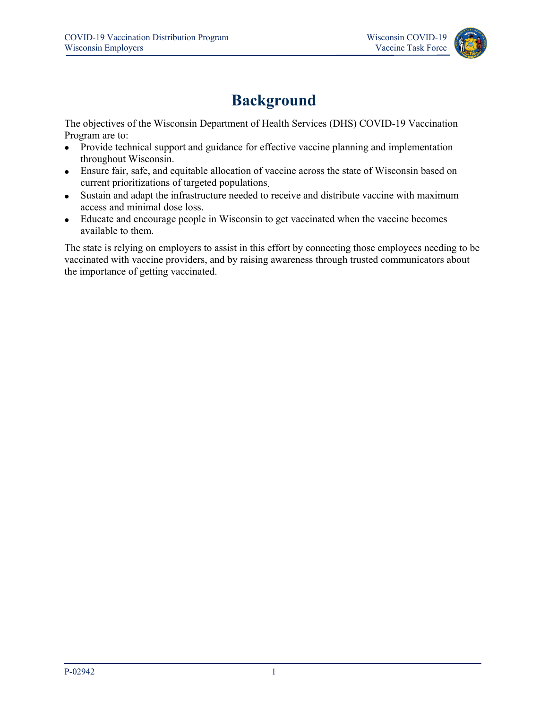

## **Background**

<span id="page-2-0"></span>The objectives of the Wisconsin Department of Health Services (DHS) COVID-19 Vaccination Program are to:

- Provide technical support and guidance for effective vaccine planning and implementation throughout Wisconsin.
- Ensure fair, safe, and equitable allocation of vaccine across the state of Wisconsin based on current prioritizations of targeted populations.
- Sustain and adapt the infrastructure needed to receive and distribute vaccine with maximum access and minimal dose loss.
- Educate and encourage people in Wisconsin to get vaccinated when the vaccine becomes available to them.

The state is relying on employers to assist in this effort by connecting those employees needing to be vaccinated with vaccine providers, and by raising awareness through trusted communicators about the importance of getting vaccinated.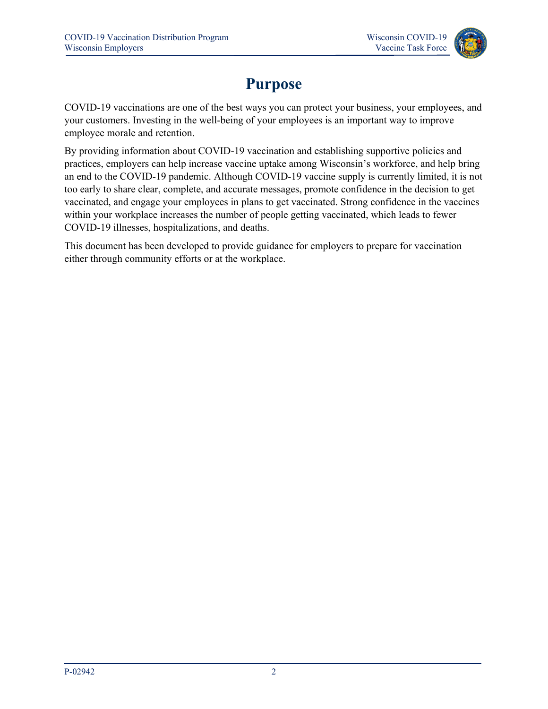

# **Purpose**

<span id="page-3-0"></span>COVID-19 vaccinations are one of the best ways you can protect your business, your employees, and your customers. Investing in the well-being of your employees is an important way to improve employee morale and retention.

By providing information about COVID-19 vaccination and establishing supportive policies and practices, employers can help increase vaccine uptake among Wisconsin's workforce, and help bring an end to the COVID-19 pandemic. Although COVID-19 vaccine supply is currently limited, it is not too early to share clear, complete, and accurate messages, promote confidence in the decision to get vaccinated, and engage your employees in plans to get vaccinated. Strong confidence in the vaccines within your workplace increases the number of people getting vaccinated, which leads to fewer COVID-19 illnesses, hospitalizations, and deaths.

This document has been developed to provide guidance for employers to prepare for vaccination either through community efforts or at the workplace.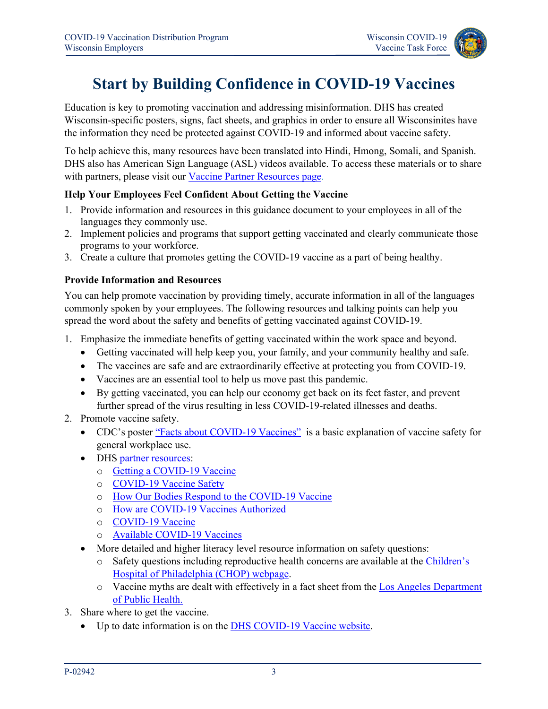

## **Start by Building Confidence in COVID-19 Vaccines**

<span id="page-4-0"></span>Education is key to promoting vaccination and addressing misinformation. DHS has created Wisconsin-specific posters, signs, fact sheets, and graphics in order to ensure all Wisconsinites have the information they need be protected against COVID-19 and informed about vaccine safety.

To help achieve this, many resources have been translated into Hindi, Hmong, Somali, and Spanish. DHS also has American Sign Language (ASL) videos available. To access these materials or to share with partners, please visit our [Vaccine Partner Resources page.](https://www.dhs.wisconsin.gov/covid-19/vaccine-resources.htm)

#### <span id="page-4-1"></span>**Help Your Employees Feel Confident About Getting the Vaccine**

- 1. Provide information and resources in this guidance document to your employees in all of the languages they commonly use.
- 2. Implement policies and programs that support getting vaccinated and clearly communicate those programs to your workforce.
- 3. Create a culture that promotes getting the COVID-19 vaccine as a part of being healthy.

#### <span id="page-4-2"></span>**Provide Information and Resources**

You can help promote vaccination by providing timely, accurate information in all of the languages commonly spoken by your employees. The following resources and talking points can help you spread the word about the safety and benefits of getting vaccinated against COVID-19.

- 1. Emphasize the immediate benefits of getting vaccinated within the work space and beyond.
	- Getting vaccinated will help keep you, your family, and your community healthy and safe.
	- The vaccines are safe and are extraordinarily effective at protecting you from COVID-19.
	- Vaccines are an essential tool to help us move past this pandemic.
	- By getting vaccinated, you can help our economy get back on its feet faster, and prevent further spread of the virus resulting in less COVID-19-related illnesses and deaths.
- 2. Promote vaccine safety.
	- CDC's poster ["Facts about COVID-19 Vaccines"](https://www.cdc.gov/coronavirus/2019-ncov/communication/print-resources.html?Sort=Date%3A%3Adesc&Search=Facts&Audience=General%20Public&Topics=Vaccines) is a basic explanation of vaccine safety for general workplace use.
	- DHS [partner resources:](https://www.dhs.wisconsin.gov/covid-19/vaccine-resources.htm)
		- o [Getting a COVID-19 Vaccine](https://www.dhs.wisconsin.gov/publications/p02891.pdf)
		- o [COVID-19 Vaccine Safety](https://www.dhs.wisconsin.gov/publications/p02872.pdf)
		- o [How Our Bodies Respond to the COVID-19 Vaccine](https://www.dhs.wisconsin.gov/publications/p02941.pdf)
		- o [How are COVID-19 Vaccines Authorized](https://www.dhs.wisconsin.gov/publications/p02940.pdf)
		- o [COVID-19 Vaccine](https://www.dhs.wisconsin.gov/publications/p02945.pdf)
		- o [Available COVID-19 Vaccines](https://www.dhs.wisconsin.gov/publications/p02946.pdf)
	- More detailed and higher literacy level resource information on safety questions:
		- o Safety questions including reproductive health concerns are available at the [Children's](https://www.chop.edu/centers-programs/vaccine-education-center/making-vaccines/prevent-covid?_sm_au_=iqVZsNNMNJmHsJkMBLQtvK7BJGKjp)  [Hospital of Philadelphia \(CHOP\) webpage.](https://www.chop.edu/centers-programs/vaccine-education-center/making-vaccines/prevent-covid?_sm_au_=iqVZsNNMNJmHsJkMBLQtvK7BJGKjp)
		- o Vaccine myths are dealt with effectively in a fact sheet from the [Los Angeles Department](http://publichealth.lacounty.gov/media/Coronavirus/docs/about/COVID19VaccineMisinformation.pdf?_sm_au_=iqVZsNNMNJmHsJkMBLQtvK7BJGKjp)  [of Public Health.](http://publichealth.lacounty.gov/media/Coronavirus/docs/about/COVID19VaccineMisinformation.pdf?_sm_au_=iqVZsNNMNJmHsJkMBLQtvK7BJGKjp)
- 3. Share where to get the vaccine.
	- Up to date information is on the [DHS COVID-19 Vaccine website.](https://www.dhs.wisconsin.gov/covid-19/vaccine-get.htm)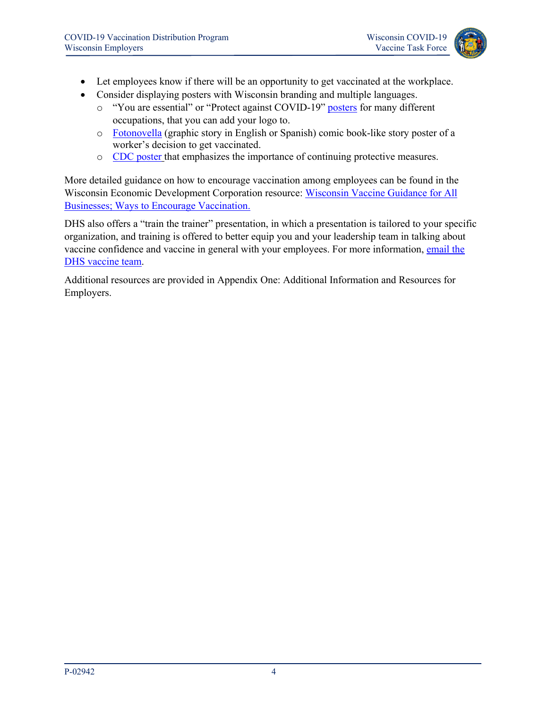

- Let employees know if there will be an opportunity to get vaccinated at the workplace.
- Consider displaying posters with Wisconsin branding and multiple languages.
	- o "You are essential" or "Protect against COVID-19" [posters](https://www.cdc.gov/coronavirus/2019-ncov/communication/print-resources.html?Sort=Date%3A%3Adesc&Audience=General%20Public%20%3E%20Employers%2C%20Business%20Owners%20%26%20Community%20Leaders&Topics=Vaccines) for many different occupations, that you can add your logo to.
	- o [Fotonovella](https://www.cdc.gov/coronavirus/2019-ncov/communication/print-resources.html?Sort=Date%3A%3Adesc&Search=fotonovela&Topics=Vaccines) (graphic story in English or Spanish) comic book-like story poster of a worker's decision to get vaccinated.
	- o [CDC poster](https://www.cdc.gov/vaccines/covid-19/downloads/all-of-our-tools.pdf) that emphasizes the importance of continuing protective measures.

More detailed guidance on how to encourage vaccination among employees can be found in the Wisconsin Economic Development Corporation resource: [Wisconsin Vaccine Guidance for All](https://secure-web.cisco.com/1HpvBPqqc-DFTtrbhuYHb2-8h4tE5yX3KbQ2cEkmJnxOShekmGv3d6wKX6HjrNk0eq5DK6y_A_HsAmNuy3mYaVPyt_m-WhNJ-aRRobrMOIaRS3mTTi8f9Ds8Z0PD_d32viRl21Z5R6Gt-zxyFf2tr4U1NNmnksGrqq60lm0oBcJ8y_oV1vP0eTnGmYeY6iGRWwZ0AEUxND38TYxcHF-SJgJlsK0FtGEFgR8LMOfuw70rENi-7zuRMTNoGtCi6NAeM/https%3A%2F%2Fwedc.org%2Fvaccine-guidelines)  [Businesses; Ways to Encourage Vaccination.](https://secure-web.cisco.com/1HpvBPqqc-DFTtrbhuYHb2-8h4tE5yX3KbQ2cEkmJnxOShekmGv3d6wKX6HjrNk0eq5DK6y_A_HsAmNuy3mYaVPyt_m-WhNJ-aRRobrMOIaRS3mTTi8f9Ds8Z0PD_d32viRl21Z5R6Gt-zxyFf2tr4U1NNmnksGrqq60lm0oBcJ8y_oV1vP0eTnGmYeY6iGRWwZ0AEUxND38TYxcHF-SJgJlsK0FtGEFgR8LMOfuw70rENi-7zuRMTNoGtCi6NAeM/https%3A%2F%2Fwedc.org%2Fvaccine-guidelines) 

DHS also offers a "train the trainer" presentation, in which a presentation is tailored to your specific organization, and training is offered to better equip you and your leadership team in talking about vaccine confidence and vaccine in general with your employees. For more information, email the [DHS vaccine team.](mailto:DHSCOVIDVaccinator@wi.gov)

Additional resources are provided in Appendix One: Additional Information and Resources for Employers.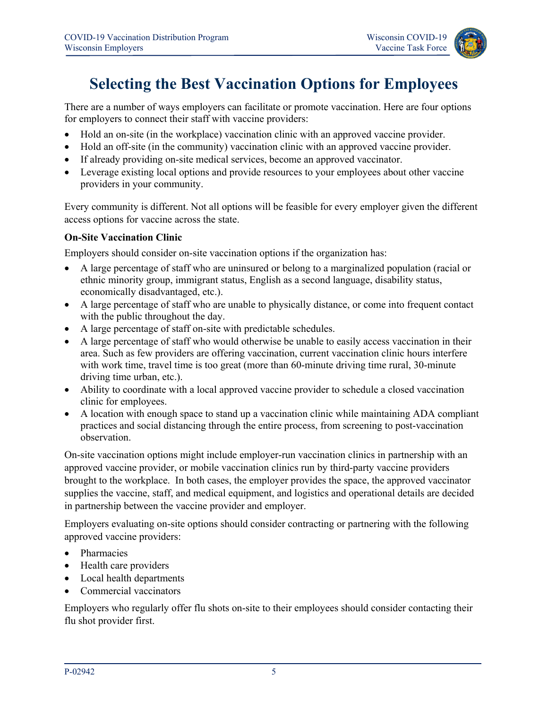### <span id="page-6-0"></span>**Selecting the Best Vaccination Options for Employees**

There are a number of ways employers can facilitate or promote vaccination. Here are four options for employers to connect their staff with vaccine providers:

- Hold an on-site (in the workplace) vaccination clinic with an approved vaccine provider.
- Hold an off-site (in the community) vaccination clinic with an approved vaccine provider.
- If already providing on-site medical services, become an approved vaccinator.
- Leverage existing local options and provide resources to your employees about other vaccine providers in your community.

Every community is different. Not all options will be feasible for every employer given the different access options for vaccine across the state.

#### <span id="page-6-1"></span>**On-Site Vaccination Clinic**

Employers should consider on-site vaccination options if the organization has:

- A large percentage of staff who are uninsured or belong to a marginalized population (racial or ethnic minority group, immigrant status, English as a second language, disability status, economically disadvantaged, etc.).
- A large percentage of staff who are unable to physically distance, or come into frequent contact with the public throughout the day.
- A large percentage of staff on-site with predictable schedules.
- A large percentage of staff who would otherwise be unable to easily access vaccination in their area. Such as few providers are offering vaccination, current vaccination clinic hours interfere with work time, travel time is too great (more than 60-minute driving time rural, 30-minute driving time urban, etc.).
- Ability to coordinate with a local approved vaccine provider to schedule a closed vaccination clinic for employees.
- A location with enough space to stand up a vaccination clinic while maintaining ADA compliant practices and social distancing through the entire process, from screening to post-vaccination observation.

On-site vaccination options might include employer-run vaccination clinics in partnership with an approved vaccine provider, or mobile vaccination clinics run by third-party vaccine providers brought to the workplace. In both cases, the employer provides the space, the approved vaccinator supplies the vaccine, staff, and medical equipment, and logistics and operational details are decided in partnership between the vaccine provider and employer.

Employers evaluating on-site options should consider contracting or partnering with the following approved vaccine providers:

- Pharmacies
- Health care providers
- Local health departments
- Commercial vaccinators

Employers who regularly offer flu shots on-site to their employees should consider contacting their flu shot provider first.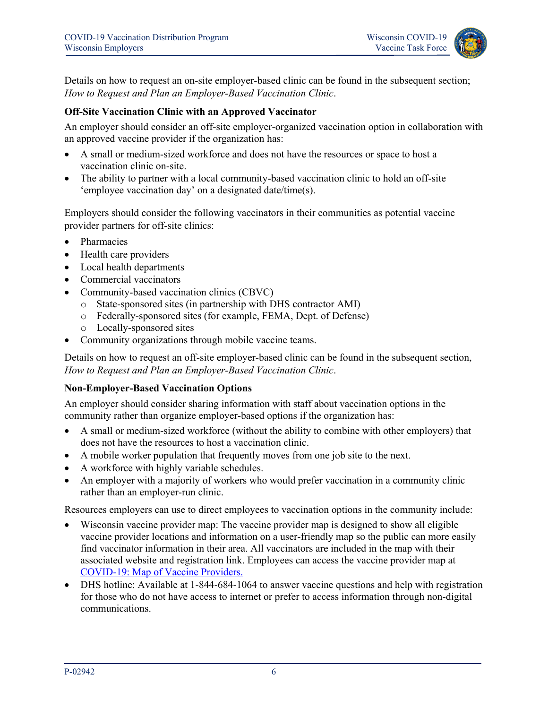

Details on how to request an on-site employer-based clinic can be found in the subsequent section; *How to Request and Plan an Employer-Based Vaccination Clinic*.

#### <span id="page-7-0"></span>**Off-Site Vaccination Clinic with an Approved Vaccinator**

An employer should consider an off-site employer-organized vaccination option in collaboration with an approved vaccine provider if the organization has:

- A small or medium-sized workforce and does not have the resources or space to host a vaccination clinic on-site.
- The ability to partner with a local community-based vaccination clinic to hold an off-site 'employee vaccination day' on a designated date/time(s).

Employers should consider the following vaccinators in their communities as potential vaccine provider partners for off-site clinics:

- Pharmacies
- Health care providers
- Local health departments
- Commercial vaccinators
- Community-based vaccination clinics (CBVC)
	- o State-sponsored sites (in partnership with DHS contractor AMI)
	- o Federally-sponsored sites (for example, FEMA, Dept. of Defense)
	- o Locally-sponsored sites
- Community organizations through mobile vaccine teams.

Details on how to request an off-site employer-based clinic can be found in the subsequent section, *How to Request and Plan an Employer-Based Vaccination Clinic*.

#### <span id="page-7-1"></span>**Non-Employer-Based Vaccination Options**

An employer should consider sharing information with staff about vaccination options in the community rather than organize employer-based options if the organization has:

- A small or medium-sized workforce (without the ability to combine with other employers) that does not have the resources to host a vaccination clinic.
- A mobile worker population that frequently moves from one job site to the next.
- A workforce with highly variable schedules.
- An employer with a majority of workers who would prefer vaccination in a community clinic rather than an employer-run clinic.

Resources employers can use to direct employees to vaccination options in the community include:

- Wisconsin vaccine provider map: The vaccine provider map is designed to show all eligible vaccine provider locations and information on a user-friendly map so the public can more easily find vaccinator information in their area. All vaccinators are included in the map with their associated website and registration link. Employees can access the vaccine provider map at [COVID-19: Map of Vaccine Providers.](https://www.dhs.wisconsin.gov/covid-19/vaccine-map.htm)
- DHS hotline: Available at 1-844-684-1064 to answer vaccine questions and help with registration for those who do not have access to internet or prefer to access information through non-digital communications.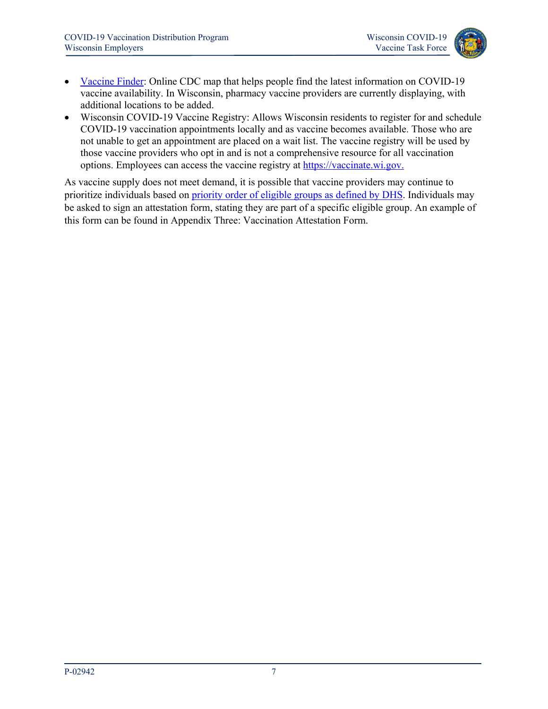

- [Vaccine Finder:](https://vaccinefinder.org/) Online CDC map that helps people find the latest information on COVID-19 vaccine availability. In Wisconsin, pharmacy vaccine providers are currently displaying, with additional locations to be added.
- Wisconsin COVID-19 Vaccine Registry: Allows Wisconsin residents to register for and schedule COVID-19 vaccination appointments locally and as vaccine becomes available. Those who are not unable to get an appointment are placed on a wait list. The vaccine registry will be used by those vaccine providers who opt in and is not a comprehensive resource for all vaccination options. Employees can access the vaccine registry at [https://vaccinate.wi.gov.](https://vaccinate.wi.gov/)

As vaccine supply does not meet demand, it is possible that vaccine providers may continue to prioritize individuals based on [priority order of eligible groups as defined by DHS.](https://www.dhs.wisconsin.gov/covid-19/vaccine-about.htm) Individuals may be asked to sign an attestation form, stating they are part of a specific eligible group. An example of this form can be found in Appendix Three: Vaccination Attestation Form.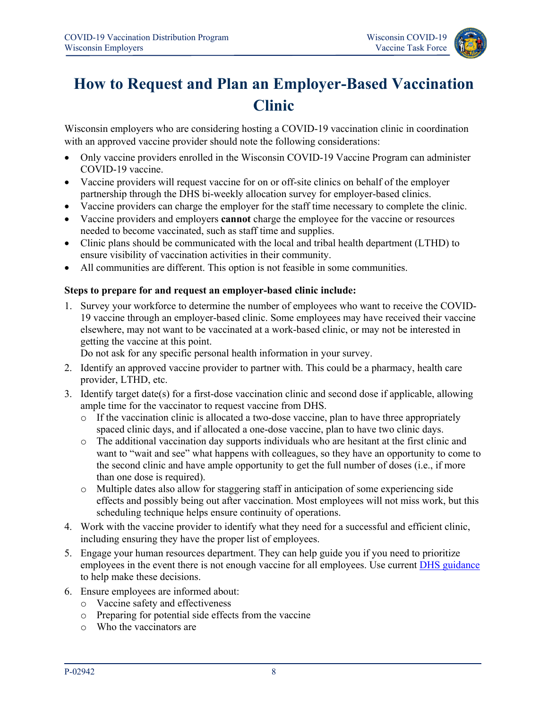

# <span id="page-9-0"></span>**How to Request and Plan an Employer-Based Vaccination Clinic**

Wisconsin employers who are considering hosting a COVID-19 vaccination clinic in coordination with an approved vaccine provider should note the following considerations:

- Only vaccine providers enrolled in the Wisconsin COVID-19 Vaccine Program can administer COVID-19 vaccine.
- Vaccine providers will request vaccine for on or off-site clinics on behalf of the employer partnership through the DHS bi-weekly allocation survey for employer-based clinics.
- Vaccine providers can charge the employer for the staff time necessary to complete the clinic.
- Vaccine providers and employers **cannot** charge the employee for the vaccine or resources needed to become vaccinated, such as staff time and supplies.
- Clinic plans should be communicated with the local and tribal health department (LTHD) to ensure visibility of vaccination activities in their community.
- All communities are different. This option is not feasible in some communities.

#### <span id="page-9-1"></span>**Steps to prepare for and request an employer-based clinic include:**

1. Survey your workforce to determine the number of employees who want to receive the COVID-19 vaccine through an employer-based clinic. Some employees may have received their vaccine elsewhere, may not want to be vaccinated at a work-based clinic, or may not be interested in getting the vaccine at this point.

Do not ask for any specific personal health information in your survey.

- 2. Identify an approved vaccine provider to partner with. This could be a pharmacy, health care provider, LTHD, etc.
- 3. Identify target date(s) for a first-dose vaccination clinic and second dose if applicable, allowing ample time for the vaccinator to request vaccine from DHS.
	- $\circ$  If the vaccination clinic is allocated a two-dose vaccine, plan to have three appropriately spaced clinic days, and if allocated a one-dose vaccine, plan to have two clinic days.
	- o The additional vaccination day supports individuals who are hesitant at the first clinic and want to "wait and see" what happens with colleagues, so they have an opportunity to come to the second clinic and have ample opportunity to get the full number of doses (i.e., if more than one dose is required).
	- o Multiple dates also allow for staggering staff in anticipation of some experiencing side effects and possibly being out after vaccination. Most employees will not miss work, but this scheduling technique helps ensure continuity of operations.
- 4. Work with the vaccine provider to identify what they need for a successful and efficient clinic, including ensuring they have the proper list of employees.
- 5. Engage your human resources department. They can help guide you if you need to prioritize employees in the event there is not enough vaccine for all employees. Use current [DHS guidance](https://www.dhs.wisconsin.gov/covid-19/vaccine-about.htm) to help make these decisions.
- 6. Ensure employees are informed about:
	- o Vaccine safety and effectiveness
	- o Preparing for potential side effects from the vaccine
	- o Who the vaccinators are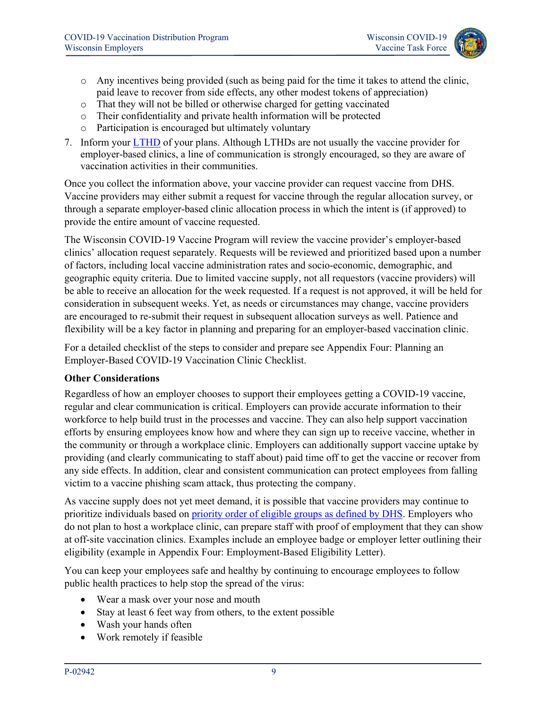

- o Any incentives being provided (such as being paid for the time it takes to attend the clinic, paid leave to recover from side effects, any other modest tokens of appreciation)
- o That they will not be billed or otherwise charged for getting vaccinated
- o Their confidentiality and private health information will be protected
- o Participation is encouraged but ultimately voluntary
- 7. Inform your **LTHD** of your plans. Although LTHDs are not usually the vaccine provider for employer-based clinics, a line of communication is strongly encouraged, so they are aware of vaccination activities in their communities.

Once you collect the information above, your vaccine provider can request vaccine from DHS. Vaccine providers may either submit a request for vaccine through the regular allocation survey, or through a separate employer-based clinic allocation process in which the intent is (if approved) to provide the entire amount of vaccine requested.

The Wisconsin COVID-19 Vaccine Program will review the vaccine provider's employer-based clinics' allocation request separately. Requests will be reviewed and prioritized based upon a number of factors, including local vaccine administration rates and socio-economic, demographic, and geographic equity criteria. Due to limited vaccine supply, not all requestors (vaccine providers) will be able to receive an allocation for the week requested. If a request is not approved, it will be held for consideration in subsequent weeks. Yet, as needs or circumstances may change, vaccine providers are encouraged to re-submit their request in subsequent allocation surveys as well. Patience and flexibility will be a key factor in planning and preparing for an employer-based vaccination clinic.

For a detailed checklist of the steps to consider and prepare see Appendix Four: Planning an Employer-Based COVID-19 Vaccination Clinic Checklist.

#### <span id="page-10-0"></span>**Other Considerations**

Regardless of how an employer chooses to support their employees getting a COVID-19 vaccine, regular and clear communication is critical. Employers can provide accurate information to their workforce to help build trust in the processes and vaccine. They can also help support vaccination efforts by ensuring employees know how and where they can sign up to receive vaccine, whether in the community or through a workplace clinic. Employers can additionally support vaccine uptake by providing (and clearly communicating to staff about) paid time off to get the vaccine or recover from any side effects. In addition, clear and consistent communication can protect employees from falling victim to a vaccine phishing scam attack, thus protecting the company.

As vaccine supply does not yet meet demand, it is possible that vaccine providers may continue to prioritize individuals based on [priority order of eligible groups as defined by DHS.](https://www.dhs.wisconsin.gov/covid-19/vaccine-about.htm) Employers who do not plan to host a workplace clinic, can prepare staff with proof of employment that they can show at off-site vaccination clinics. Examples include an employee badge or employer letter outlining their eligibility (example in Appendix Four: Employment-Based Eligibility Letter).

You can keep your employees safe and healthy by continuing to encourage employees to follow public health practices to help stop the spread of the virus:

- Wear a mask over your nose and mouth
- Stay at least 6 feet way from others, to the extent possible
- Wash your hands often
- Work remotely if feasible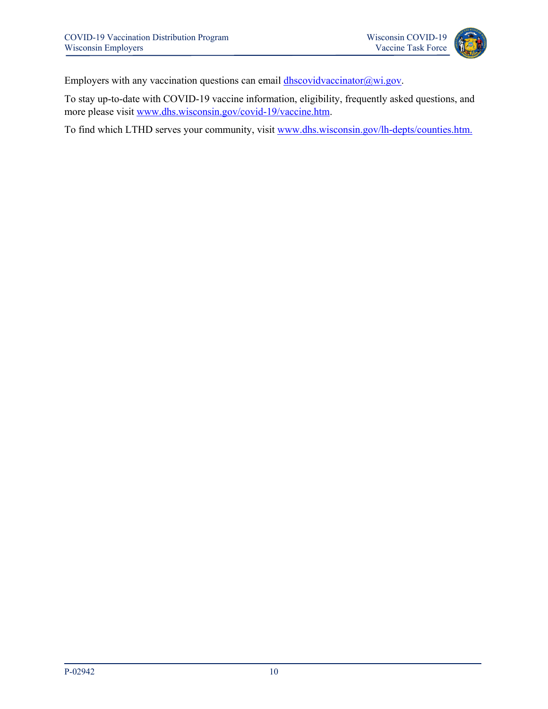

Employers with any vaccination questions can email [dhscovidvaccinator@wi.gov.](mailto:dhscovidvaccinator@wi.gov)

To stay up-to-date with COVID-19 vaccine information, eligibility, frequently asked questions, and more please visit [www.dhs.wisconsin.gov/covid-19/vaccine.htm.](http://www.dhs.wisconsin.gov/covid-19/vaccine.htm)

To find which LTHD serves your community, visit [www.dhs.wisconsin.gov/lh-depts/counties.htm.](http://www.dhs.wisconsin.gov/lh-depts/counties.htm)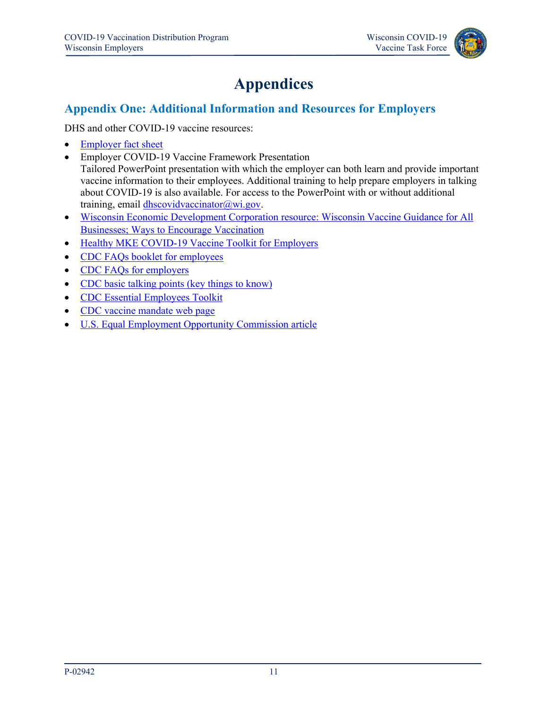

# **Appendices**

### <span id="page-12-1"></span><span id="page-12-0"></span>**Appendix One: Additional Information and Resources for Employers**

DHS and other COVID-19 vaccine resources:

- [Employer fact sheet](https://www.dhs.wisconsin.gov/publications/p02921.pdf)
- Employer COVID-19 Vaccine Framework Presentation Tailored PowerPoint presentation with which the employer can both learn and provide important vaccine information to their employees. Additional training to help prepare employers in talking about COVID-19 is also available. For access to the PowerPoint with or without additional training, email [dhscovidvaccinator@wi.gov.](mailto:dhscovidvaccinator@wi.gov)
- [Wisconsin Economic Development Corporation resource: Wisconsin Vaccine Guidance for All](https://secure-web.cisco.com/1HpvBPqqc-DFTtrbhuYHb2-8h4tE5yX3KbQ2cEkmJnxOShekmGv3d6wKX6HjrNk0eq5DK6y_A_HsAmNuy3mYaVPyt_m-WhNJ-aRRobrMOIaRS3mTTi8f9Ds8Z0PD_d32viRl21Z5R6Gt-zxyFf2tr4U1NNmnksGrqq60lm0oBcJ8y_oV1vP0eTnGmYeY6iGRWwZ0AEUxND38TYxcHF-SJgJlsK0FtGEFgR8LMOfuw70rENi-7zuRMTNoGtCi6NAeM/https%3A%2F%2Fwedc.org%2Fvaccine-guidelines)  [Businesses; Ways to Encourage Vaccination](https://secure-web.cisco.com/1HpvBPqqc-DFTtrbhuYHb2-8h4tE5yX3KbQ2cEkmJnxOShekmGv3d6wKX6HjrNk0eq5DK6y_A_HsAmNuy3mYaVPyt_m-WhNJ-aRRobrMOIaRS3mTTi8f9Ds8Z0PD_d32viRl21Z5R6Gt-zxyFf2tr4U1NNmnksGrqq60lm0oBcJ8y_oV1vP0eTnGmYeY6iGRWwZ0AEUxND38TYxcHF-SJgJlsK0FtGEFgR8LMOfuw70rENi-7zuRMTNoGtCi6NAeM/https%3A%2F%2Fwedc.org%2Fvaccine-guidelines)
- [Healthy MKE COVID-19 Vaccine Toolkit for Employers](https://www.mmac.org/uploads/1/1/3/5/113552797/covid-19_vaccine_toolkit_for_employers_031721.pdf)
- CDC FAQs booklet for employees
- CDC FAQs for employers
- [CDC basic talking points \(key things to know\)](https://www.cdc.gov/coronavirus/2019-ncov/vaccines/keythingstoknow.html)
- [CDC Essential Employees Toolkit](https://www.cdc.gov/coronavirus/2019-ncov/vaccines/toolkits/essential-workers.html)
- [CDC vaccine mandate web page](https://www.cdc.gov/coronavirus/2019-ncov/vaccines/recommendations/essentialworker/workplace-vaccination-program.html#Mandates)
- [U.S. Equal Employment Opportunity Commission article](https://www.eeoc.gov/wysk/what-you-should-know-about-covid-19-and-ada-rehabilitation-act-and-other-eeo-laws)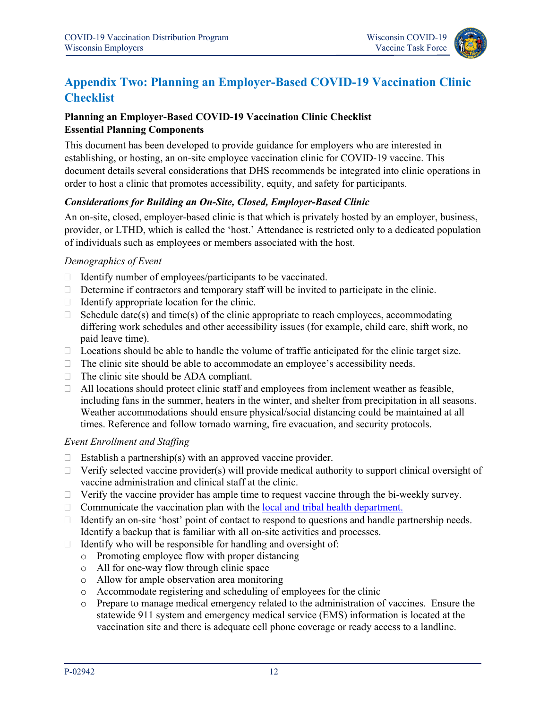

### <span id="page-13-0"></span>**Appendix Two: Planning an Employer-Based COVID-19 Vaccination Clinic Checklist**

#### <span id="page-13-2"></span><span id="page-13-1"></span>**Planning an Employer-Based COVID-19 Vaccination Clinic Checklist Essential Planning Components**

This document has been developed to provide guidance for employers who are interested in establishing, or hosting, an on-site employee vaccination clinic for COVID-19 vaccine. This document details several considerations that DHS recommends be integrated into clinic operations in order to host a clinic that promotes accessibility, equity, and safety for participants.

#### *Considerations for Building an On-Site, Closed, Employer-Based Clinic*

An on-site, closed, employer-based clinic is that which is privately hosted by an employer, business, provider, or LTHD, which is called the 'host.' Attendance is restricted only to a dedicated population of individuals such as employees or members associated with the host.

#### *Demographics of Event*

- $\Box$  Identify number of employees/participants to be vaccinated.
- $\Box$  Determine if contractors and temporary staff will be invited to participate in the clinic.
- $\Box$  Identify appropriate location for the clinic.
- $\Box$  Schedule date(s) and time(s) of the clinic appropriate to reach employees, accommodating differing work schedules and other accessibility issues (for example, child care, shift work, no paid leave time).
- $\Box$  Locations should be able to handle the volume of traffic anticipated for the clinic target size.
- $\Box$  The clinic site should be able to accommodate an employee's accessibility needs.
- $\Box$  The clinic site should be ADA compliant.
- $\Box$  All locations should protect clinic staff and employees from inclement weather as feasible, including fans in the summer, heaters in the winter, and shelter from precipitation in all seasons. Weather accommodations should ensure physical/social distancing could be maintained at all times. Reference and follow tornado warning, fire evacuation, and security protocols.

#### *Event Enrollment and Staffing*

- $\Box$  Establish a partnership(s) with an approved vaccine provider.
- $\Box$  Verify selected vaccine provider(s) will provide medical authority to support clinical oversight of vaccine administration and clinical staff at the clinic.
- $\Box$  Verify the vaccine provider has ample time to request vaccine through the bi-weekly survey.
- $\Box$  Communicate the vaccination plan with the [local and tribal health department.](https://www.dhs.wisconsin.gov/lh-depts/counties.htm)
- $\Box$  Identify an on-site 'host' point of contact to respond to questions and handle partnership needs. Identify a backup that is familiar with all on-site activities and processes.
- $\Box$  Identify who will be responsible for handling and oversight of:
	- o Promoting employee flow with proper distancing
	- o All for one-way flow through clinic space
	- o Allow for ample observation area monitoring
	- o Accommodate registering and scheduling of employees for the clinic
	- o Prepare to manage medical emergency related to the administration of vaccines. Ensure the statewide 911 system and emergency medical service (EMS) information is located at the vaccination site and there is adequate cell phone coverage or ready access to a landline.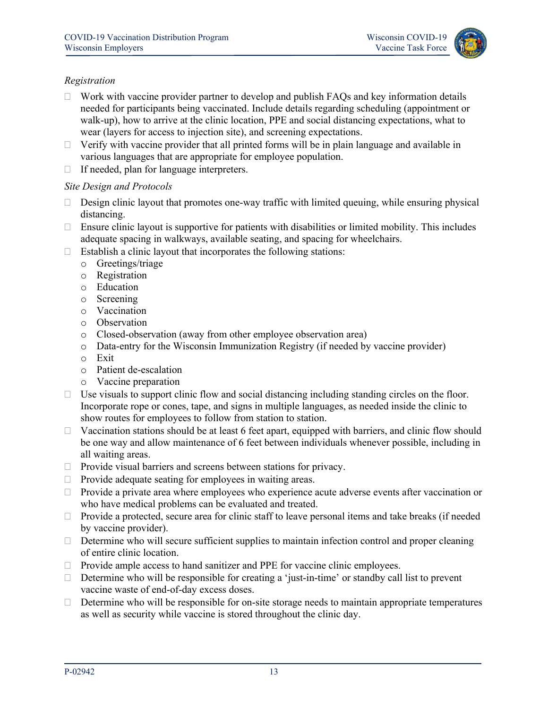

#### *Registration*

- $\Box$  Work with vaccine provider partner to develop and publish FAQs and key information details needed for participants being vaccinated. Include details regarding scheduling (appointment or walk-up), how to arrive at the clinic location, PPE and social distancing expectations, what to wear (layers for access to injection site), and screening expectations.
- $\Box$  Verify with vaccine provider that all printed forms will be in plain language and available in various languages that are appropriate for employee population.
- $\Box$  If needed, plan for language interpreters.

#### *Site Design and Protocols*

- $\Box$  Design clinic layout that promotes one-way traffic with limited queuing, while ensuring physical distancing.
- $\Box$  Ensure clinic layout is supportive for patients with disabilities or limited mobility. This includes adequate spacing in walkways, available seating, and spacing for wheelchairs.
- $\Box$  Establish a clinic layout that incorporates the following stations:
	- o Greetings/triage
	- o Registration
	- o Education
	- o Screening
	- o Vaccination
	- o Observation
	- o Closed-observation (away from other employee observation area)
	- o Data-entry for the Wisconsin Immunization Registry (if needed by vaccine provider)
	- o Exit
	- o Patient de-escalation
	- o Vaccine preparation
- $\Box$  Use visuals to support clinic flow and social distancing including standing circles on the floor. Incorporate rope or cones, tape, and signs in multiple languages, as needed inside the clinic to show routes for employees to follow from station to station.
- $\Box$  Vaccination stations should be at least 6 feet apart, equipped with barriers, and clinic flow should be one way and allow maintenance of 6 feet between individuals whenever possible, including in all waiting areas.
- $\Box$  Provide visual barriers and screens between stations for privacy.
- $\Box$  Provide adequate seating for employees in waiting areas.
- □ Provide a private area where employees who experience acute adverse events after vaccination or who have medical problems can be evaluated and treated.
- $\Box$  Provide a protected, secure area for clinic staff to leave personal items and take breaks (if needed by vaccine provider).
- Determine who will secure sufficient supplies to maintain infection control and proper cleaning of entire clinic location.
- $\Box$  Provide ample access to hand sanitizer and PPE for vaccine clinic employees.
- $\Box$  Determine who will be responsible for creating a 'just-in-time' or standby call list to prevent vaccine waste of end-of-day excess doses.
- $\Box$  Determine who will be responsible for on-site storage needs to maintain appropriate temperatures as well as security while vaccine is stored throughout the clinic day.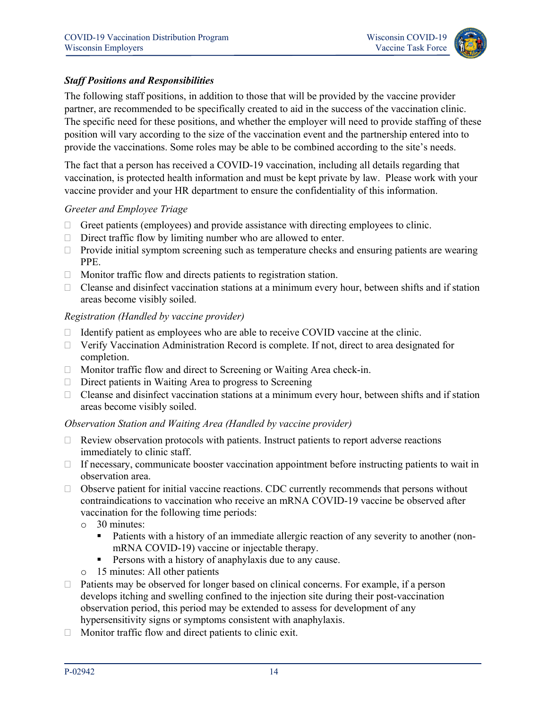

#### *Staff Positions and Responsibilities*

The following staff positions, in addition to those that will be provided by the vaccine provider partner, are recommended to be specifically created to aid in the success of the vaccination clinic. The specific need for these positions, and whether the employer will need to provide staffing of these position will vary according to the size of the vaccination event and the partnership entered into to provide the vaccinations. Some roles may be able to be combined according to the site's needs.

The fact that a person has received a COVID-19 vaccination, including all details regarding that vaccination, is protected health information and must be kept private by law. Please work with your vaccine provider and your HR department to ensure the confidentiality of this information.

#### *Greeter and Employee Triage*

- $\Box$  Greet patients (employees) and provide assistance with directing employees to clinic.
- $\Box$  Direct traffic flow by limiting number who are allowed to enter.
- $\Box$  Provide initial symptom screening such as temperature checks and ensuring patients are wearing PPE.
- $\Box$  Monitor traffic flow and directs patients to registration station.
- $\Box$  Cleanse and disinfect vaccination stations at a minimum every hour, between shifts and if station areas become visibly soiled.

#### *Registration (Handled by vaccine provider)*

- $\Box$  Identify patient as employees who are able to receive COVID vaccine at the clinic.
- Verify Vaccination Administration Record is complete. If not, direct to area designated for completion.
- □ Monitor traffic flow and direct to Screening or Waiting Area check-in.
- $\Box$  Direct patients in Waiting Area to progress to Screening
- □ Cleanse and disinfect vaccination stations at a minimum every hour, between shifts and if station areas become visibly soiled.

#### *Observation Station and Waiting Area (Handled by vaccine provider)*

- $\Box$  Review observation protocols with patients. Instruct patients to report adverse reactions immediately to clinic staff.
- $\Box$  If necessary, communicate booster vaccination appointment before instructing patients to wait in observation area.
- $\Box$  Observe patient for initial vaccine reactions. CDC currently recommends that persons without contraindications to vaccination who receive an mRNA COVID-19 vaccine be observed after vaccination for the following time periods:
	- o 30 minutes:
		- Patients with a history of an immediate allergic reaction of any severity to another (nonmRNA COVID-19) vaccine or injectable therapy.
		- **Persons with a history of anaphylaxis due to any cause.**
	- o 15 minutes: All other patients
- $\Box$  Patients may be observed for longer based on clinical concerns. For example, if a person develops itching and swelling confined to the injection site during their post-vaccination observation period, this period may be extended to assess for development of any hypersensitivity signs or symptoms consistent with anaphylaxis.
- $\Box$  Monitor traffic flow and direct patients to clinic exit.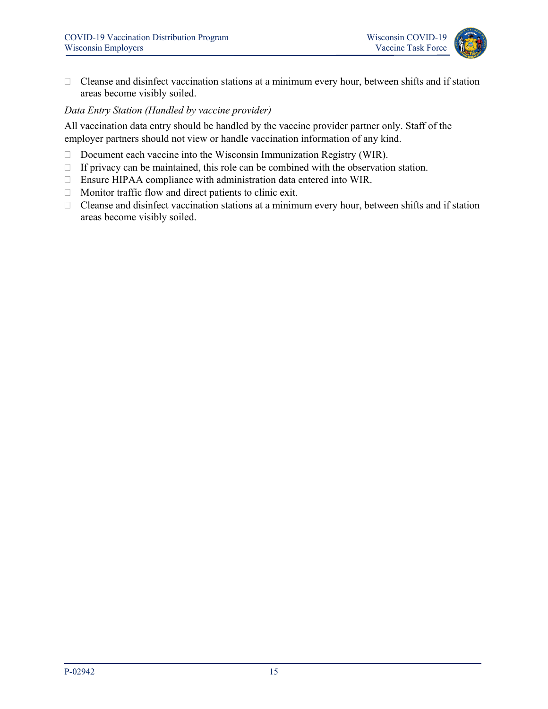

□ Cleanse and disinfect vaccination stations at a minimum every hour, between shifts and if station areas become visibly soiled.

#### *Data Entry Station (Handled by vaccine provider)*

All vaccination data entry should be handled by the vaccine provider partner only. Staff of the employer partners should not view or handle vaccination information of any kind.

- $\Box$  Document each vaccine into the Wisconsin Immunization Registry (WIR).
- $\Box$  If privacy can be maintained, this role can be combined with the observation station.
- Ensure HIPAA compliance with administration data entered into WIR.
- $\Box$  Monitor traffic flow and direct patients to clinic exit.
- $\Box$  Cleanse and disinfect vaccination stations at a minimum every hour, between shifts and if station areas become visibly soiled.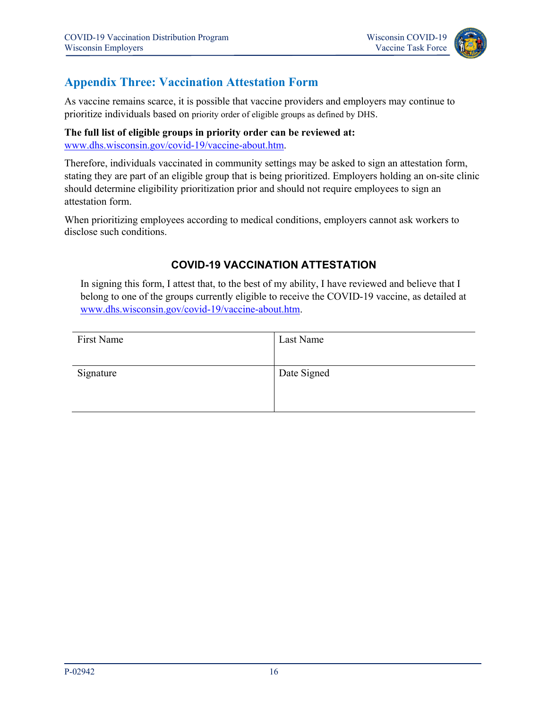

### <span id="page-17-0"></span>**Appendix Three: Vaccination Attestation Form**

As vaccine remains scarce, it is possible that vaccine providers and employers may continue to prioritize individuals based on priority order of eligible groups as defined by DHS.

**The full list of eligible groups in priority order can be reviewed at:**  [www.dhs.wisconsin.gov/covid-19/vaccine-about.htm.](http://www.dhs.wisconsin.gov/covid-19/vaccine-about.htm)

Therefore, individuals vaccinated in community settings may be asked to sign an attestation form, stating they are part of an eligible group that is being prioritized. Employers holding an on-site clinic should determine eligibility prioritization prior and should not require employees to sign an attestation form.

When prioritizing employees according to medical conditions, employers cannot ask workers to disclose such conditions.

### **COVID-19 VACCINATION ATTESTATION**

In signing this form, I attest that, to the best of my ability, I have reviewed and believe that I belong to one of the groups currently eligible to receive the COVID-19 vaccine, as detailed at [www.dhs.wisconsin.gov/covid-19/vaccine-about.htm.](http://www.dhs.wisconsin.gov/covid-19/vaccine-about.htm)

| First Name | Last Name   |
|------------|-------------|
|            |             |
| Signature  | Date Signed |
|            |             |
|            |             |